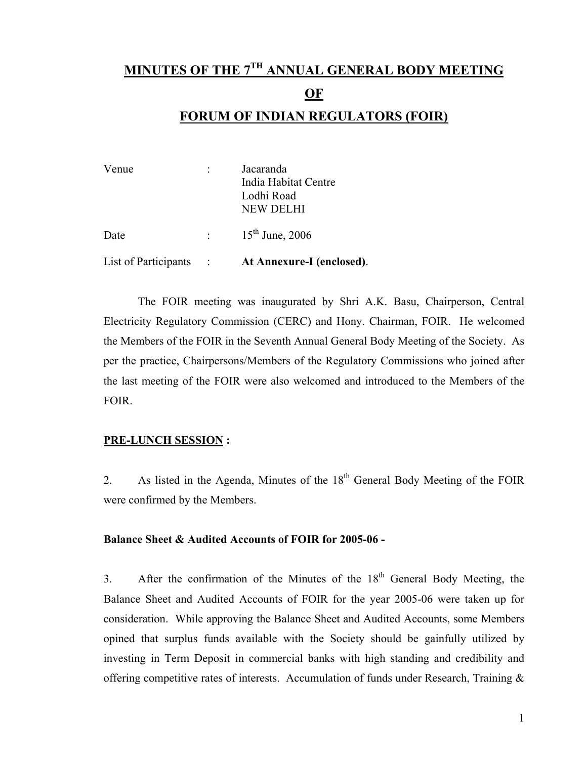# **MINUTES OF THE 7TH ANNUAL GENERAL BODY MEETING OF**

# **FORUM OF INDIAN REGULATORS (FOIR)**

| Venue                | Jacaranda<br>India Habitat Centre<br>Lodhi Road |                                          |
|----------------------|-------------------------------------------------|------------------------------------------|
| Date                 | $\sigma_{\rm{max}}$ and                         | <b>NEW DELHI</b><br>$15^{th}$ June, 2006 |
| List of Participants |                                                 | At Annexure-I (enclosed).                |

 The FOIR meeting was inaugurated by Shri A.K. Basu, Chairperson, Central Electricity Regulatory Commission (CERC) and Hony. Chairman, FOIR. He welcomed the Members of the FOIR in the Seventh Annual General Body Meeting of the Society. As per the practice, Chairpersons/Members of the Regulatory Commissions who joined after the last meeting of the FOIR were also welcomed and introduced to the Members of the FOIR.

## **PRE-LUNCH SESSION :**

2. As listed in the Agenda, Minutes of the  $18<sup>th</sup>$  General Body Meeting of the FOIR were confirmed by the Members.

### **Balance Sheet & Audited Accounts of FOIR for 2005-06 -**

3. After the confirmation of the Minutes of the  $18<sup>th</sup>$  General Body Meeting, the Balance Sheet and Audited Accounts of FOIR for the year 2005-06 were taken up for consideration. While approving the Balance Sheet and Audited Accounts, some Members opined that surplus funds available with the Society should be gainfully utilized by investing in Term Deposit in commercial banks with high standing and credibility and offering competitive rates of interests. Accumulation of funds under Research, Training &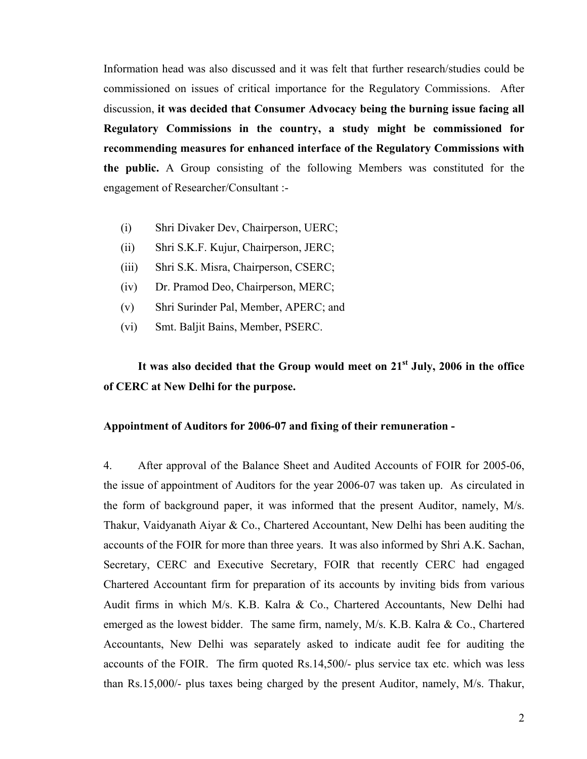Information head was also discussed and it was felt that further research/studies could be commissioned on issues of critical importance for the Regulatory Commissions. After discussion, **it was decided that Consumer Advocacy being the burning issue facing all Regulatory Commissions in the country, a study might be commissioned for recommending measures for enhanced interface of the Regulatory Commissions with the public.** A Group consisting of the following Members was constituted for the engagement of Researcher/Consultant :-

- (i) Shri Divaker Dev, Chairperson, UERC;
- (ii) Shri S.K.F. Kujur, Chairperson, JERC;
- (iii) Shri S.K. Misra, Chairperson, CSERC;
- (iv) Dr. Pramod Deo, Chairperson, MERC;
- (v) Shri Surinder Pal, Member, APERC; and
- (vi) Smt. Baljit Bains, Member, PSERC.

# **It was also decided that the Group would meet on 21st July, 2006 in the office of CERC at New Delhi for the purpose.**

### **Appointment of Auditors for 2006-07 and fixing of their remuneration -**

4. After approval of the Balance Sheet and Audited Accounts of FOIR for 2005-06, the issue of appointment of Auditors for the year 2006-07 was taken up. As circulated in the form of background paper, it was informed that the present Auditor, namely, M/s. Thakur, Vaidyanath Aiyar & Co., Chartered Accountant, New Delhi has been auditing the accounts of the FOIR for more than three years. It was also informed by Shri A.K. Sachan, Secretary, CERC and Executive Secretary, FOIR that recently CERC had engaged Chartered Accountant firm for preparation of its accounts by inviting bids from various Audit firms in which M/s. K.B. Kalra & Co., Chartered Accountants, New Delhi had emerged as the lowest bidder. The same firm, namely, M/s. K.B. Kalra & Co., Chartered Accountants, New Delhi was separately asked to indicate audit fee for auditing the accounts of the FOIR. The firm quoted Rs.14,500/- plus service tax etc. which was less than Rs.15,000/- plus taxes being charged by the present Auditor, namely, M/s. Thakur,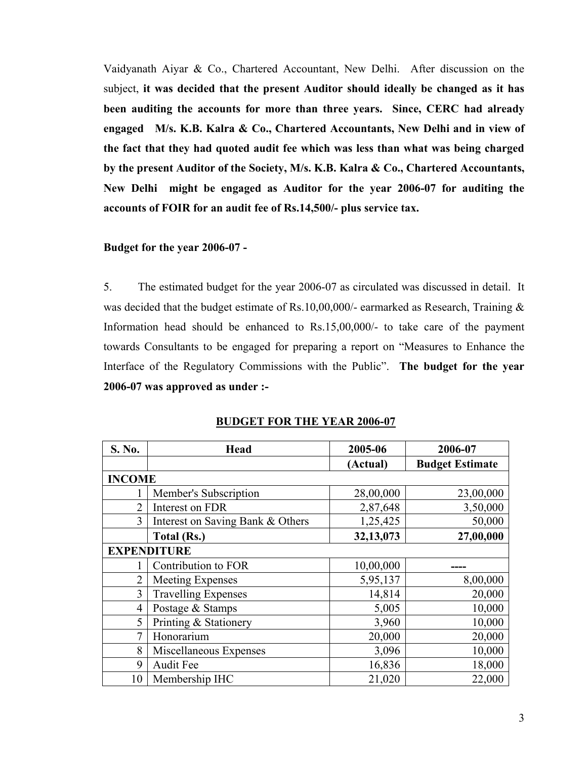Vaidyanath Aiyar & Co., Chartered Accountant, New Delhi. After discussion on the subject, **it was decided that the present Auditor should ideally be changed as it has been auditing the accounts for more than three years. Since, CERC had already engaged M/s. K.B. Kalra & Co., Chartered Accountants, New Delhi and in view of the fact that they had quoted audit fee which was less than what was being charged by the present Auditor of the Society, M/s. K.B. Kalra & Co., Chartered Accountants, New Delhi might be engaged as Auditor for the year 2006-07 for auditing the accounts of FOIR for an audit fee of Rs.14,500/- plus service tax.** 

### **Budget for the year 2006-07 -**

5. The estimated budget for the year 2006-07 as circulated was discussed in detail. It was decided that the budget estimate of Rs.10,00,000/- earmarked as Research, Training & Information head should be enhanced to Rs.15,00,000/- to take care of the payment towards Consultants to be engaged for preparing a report on "Measures to Enhance the Interface of the Regulatory Commissions with the Public". **The budget for the year 2006-07 was approved as under :-** 

| S. No.         | <b>Head</b>                      | 2005-06   | 2006-07                |
|----------------|----------------------------------|-----------|------------------------|
|                |                                  | (Actual)  | <b>Budget Estimate</b> |
| <b>INCOME</b>  |                                  |           |                        |
|                | Member's Subscription            | 28,00,000 | 23,00,000              |
| $\overline{2}$ | Interest on FDR                  | 2,87,648  | 3,50,000               |
| 3              | Interest on Saving Bank & Others | 1,25,425  | 50,000                 |
|                | <b>Total (Rs.)</b>               | 32,13,073 | 27,00,000              |
|                | <b>EXPENDITURE</b>               |           |                        |
|                | Contribution to FOR              | 10,00,000 |                        |
| 2              | Meeting Expenses                 | 5,95,137  | 8,00,000               |
| 3              | <b>Travelling Expenses</b>       | 14,814    | 20,000                 |
| $\overline{4}$ | Postage & Stamps                 | 5,005     | 10,000                 |
| 5              | Printing & Stationery            | 3,960     | 10,000                 |
| 7              | Honorarium                       | 20,000    | 20,000                 |
| 8              | Miscellaneous Expenses           | 3,096     | 10,000                 |
| 9              | <b>Audit Fee</b>                 | 16,836    | 18,000                 |
| 10             | Membership IHC                   | 21,020    | 22,000                 |

**BUDGET FOR THE YEAR 2006-07**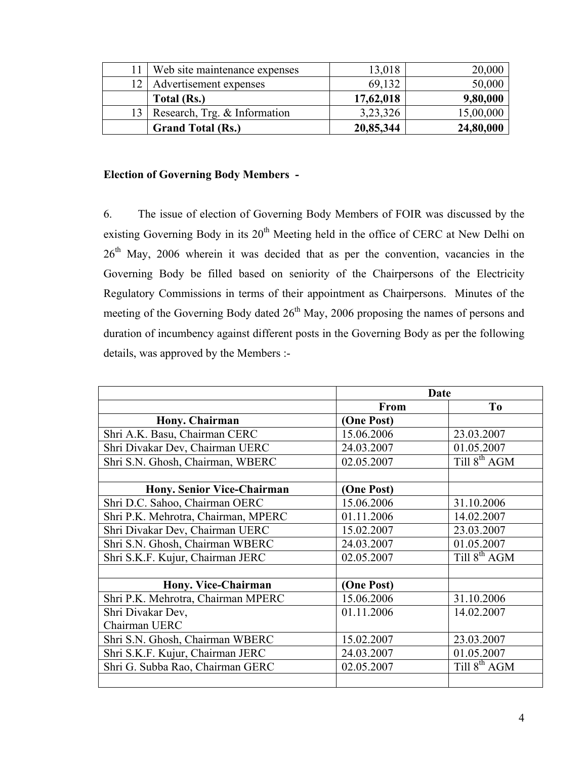|    | Web site maintenance expenses | 13,018    | 20,000    |
|----|-------------------------------|-----------|-----------|
| 12 | Advertisement expenses        | 69,132    | 50,000    |
|    | Total (Rs.)                   | 17,62,018 | 9,80,000  |
| 13 | Research, Trg. & Information  | 3,23,326  | 15,00,000 |
|    | <b>Grand Total (Rs.)</b>      | 20,85,344 | 24,80,000 |

# **Election of Governing Body Members -**

6. The issue of election of Governing Body Members of FOIR was discussed by the existing Governing Body in its  $20<sup>th</sup>$  Meeting held in the office of CERC at New Delhi on 26<sup>th</sup> May, 2006 wherein it was decided that as per the convention, vacancies in the Governing Body be filled based on seniority of the Chairpersons of the Electricity Regulatory Commissions in terms of their appointment as Chairpersons. Minutes of the meeting of the Governing Body dated  $26<sup>th</sup>$  May, 2006 proposing the names of persons and duration of incumbency against different posts in the Governing Body as per the following details, was approved by the Members :-

|                                     |            | <b>Date</b>              |
|-------------------------------------|------------|--------------------------|
|                                     | From       | T <sub>0</sub>           |
| Hony. Chairman                      | (One Post) |                          |
| Shri A.K. Basu, Chairman CERC       | 15.06.2006 | 23.03.2007               |
| Shri Divakar Dev, Chairman UERC     | 24.03.2007 | 01.05.2007               |
| Shri S.N. Ghosh, Chairman, WBERC    | 02.05.2007 | Till 8 <sup>th</sup> AGM |
|                                     |            |                          |
| <b>Hony. Senior Vice-Chairman</b>   | (One Post) |                          |
| Shri D.C. Sahoo, Chairman OERC      | 15.06.2006 | 31.10.2006               |
| Shri P.K. Mehrotra, Chairman, MPERC | 01.11.2006 | 14.02.2007               |
| Shri Divakar Dev, Chairman UERC     | 15.02.2007 | 23.03.2007               |
| Shri S.N. Ghosh, Chairman WBERC     | 24.03.2007 | 01.05.2007               |
| Shri S.K.F. Kujur, Chairman JERC    | 02.05.2007 | Till $8^{th}$ AGM        |
|                                     |            |                          |
| Hony. Vice-Chairman                 | (One Post) |                          |
| Shri P.K. Mehrotra, Chairman MPERC  | 15.06.2006 | 31.10.2006               |
| Shri Divakar Dev,                   | 01.11.2006 | 14.02.2007               |
| Chairman UERC                       |            |                          |
| Shri S.N. Ghosh, Chairman WBERC     | 15.02.2007 | 23.03.2007               |
| Shri S.K.F. Kujur, Chairman JERC    | 24.03.2007 | 01.05.2007               |
| Shri G. Subba Rao, Chairman GERC    | 02.05.2007 | Till $8^{th}$ AGM        |
|                                     |            |                          |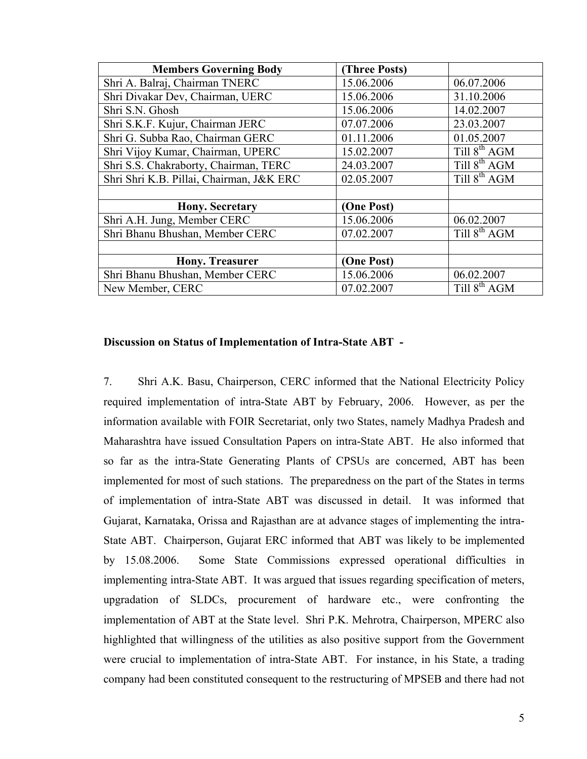| <b>Members Governing Body</b>            | (Three Posts) |                          |
|------------------------------------------|---------------|--------------------------|
| Shri A. Balraj, Chairman TNERC           | 15.06.2006    | 06.07.2006               |
| Shri Divakar Dev, Chairman, UERC         | 15.06.2006    | 31.10.2006               |
| Shri S.N. Ghosh                          | 15.06.2006    | 14.02.2007               |
| Shri S.K.F. Kujur, Chairman JERC         | 07.07.2006    | 23.03.2007               |
| Shri G. Subba Rao, Chairman GERC         | 01.11.2006    | 01.05.2007               |
| Shri Vijoy Kumar, Chairman, UPERC        | 15.02.2007    | Till 8 <sup>th</sup> AGM |
| Shri S.S. Chakraborty, Chairman, TERC    | 24.03.2007    | Till $8^{th}$ AGM        |
| Shri Shri K.B. Pillai, Chairman, J&K ERC | 02.05.2007    | Till $8^{th}$ AGM        |
|                                          |               |                          |
| <b>Hony. Secretary</b>                   | (One Post)    |                          |
| Shri A.H. Jung, Member CERC              | 15.06.2006    | 06.02.2007               |
| Shri Bhanu Bhushan, Member CERC          | 07.02.2007    | Till 8 <sup>th</sup> AGM |
|                                          |               |                          |
| <b>Hony. Treasurer</b>                   | (One Post)    |                          |
| Shri Bhanu Bhushan, Member CERC          | 15.06.2006    | 06.02.2007               |
| New Member, CERC                         | 07.02.2007    | Till $8^{th}$ AGM        |

#### **Discussion on Status of Implementation of Intra-State ABT -**

7. Shri A.K. Basu, Chairperson, CERC informed that the National Electricity Policy required implementation of intra-State ABT by February, 2006. However, as per the information available with FOIR Secretariat, only two States, namely Madhya Pradesh and Maharashtra have issued Consultation Papers on intra-State ABT. He also informed that so far as the intra-State Generating Plants of CPSUs are concerned, ABT has been implemented for most of such stations. The preparedness on the part of the States in terms of implementation of intra-State ABT was discussed in detail. It was informed that Gujarat, Karnataka, Orissa and Rajasthan are at advance stages of implementing the intra-State ABT. Chairperson, Gujarat ERC informed that ABT was likely to be implemented by 15.08.2006. Some State Commissions expressed operational difficulties in implementing intra-State ABT. It was argued that issues regarding specification of meters, upgradation of SLDCs, procurement of hardware etc., were confronting the implementation of ABT at the State level. Shri P.K. Mehrotra, Chairperson, MPERC also highlighted that willingness of the utilities as also positive support from the Government were crucial to implementation of intra-State ABT. For instance, in his State, a trading company had been constituted consequent to the restructuring of MPSEB and there had not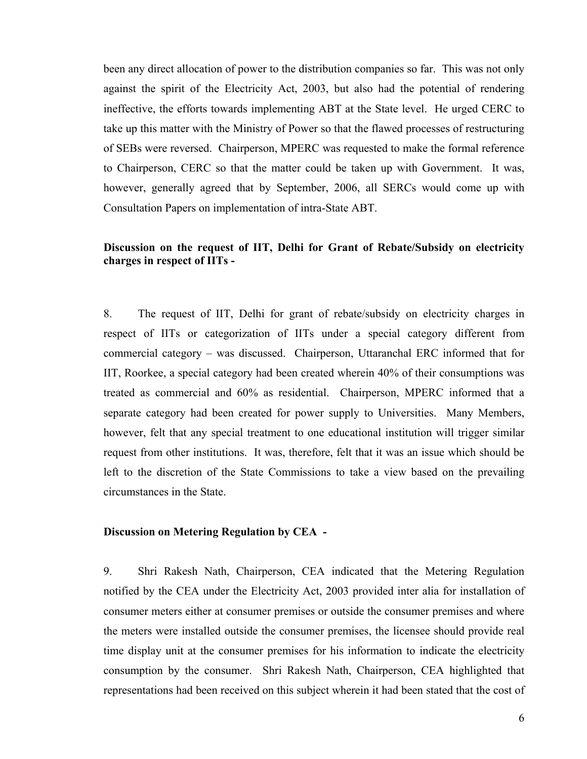been any direct allocation of power to the distribution companies so far. This was not only against the spirit of the Electricity Act, 2003, but also had the potential of rendering ineffective, the efforts towards implementing ABT at the State level. He urged CERC to take up this matter with the Ministry of Power so that the flawed processes of restructuring of SEBs were reversed. Chairperson, MPERC was requested to make the formal reference to Chairperson, CERC so that the matter could be taken up with Government. It was, however, generally agreed that by September, 2006, all SERCs would come up with Consultation Papers on implementation of intra-State ABT.

### **Discussion on the request of IIT, Delhi for Grant of Rebate/Subsidy on electricity charges in respect of IITs -**

8. The request of IIT, Delhi for grant of rebate/subsidy on electricity charges in respect of IITs or categorization of IITs under a special category different from commercial category – was discussed. Chairperson, Uttaranchal ERC informed that for IIT, Roorkee, a special category had been created wherein 40% of their consumptions was treated as commercial and 60% as residential. Chairperson, MPERC informed that a separate category had been created for power supply to Universities. Many Members, however, felt that any special treatment to one educational institution will trigger similar request from other institutions. It was, therefore, felt that it was an issue which should be left to the discretion of the State Commissions to take a view based on the prevailing circumstances in the State.

#### **Discussion on Metering Regulation by CEA -**

9. Shri Rakesh Nath, Chairperson, CEA indicated that the Metering Regulation notified by the CEA under the Electricity Act, 2003 provided inter alia for installation of consumer meters either at consumer premises or outside the consumer premises and where the meters were installed outside the consumer premises, the licensee should provide real time display unit at the consumer premises for his information to indicate the electricity consumption by the consumer. Shri Rakesh Nath, Chairperson, CEA highlighted that representations had been received on this subject wherein it had been stated that the cost of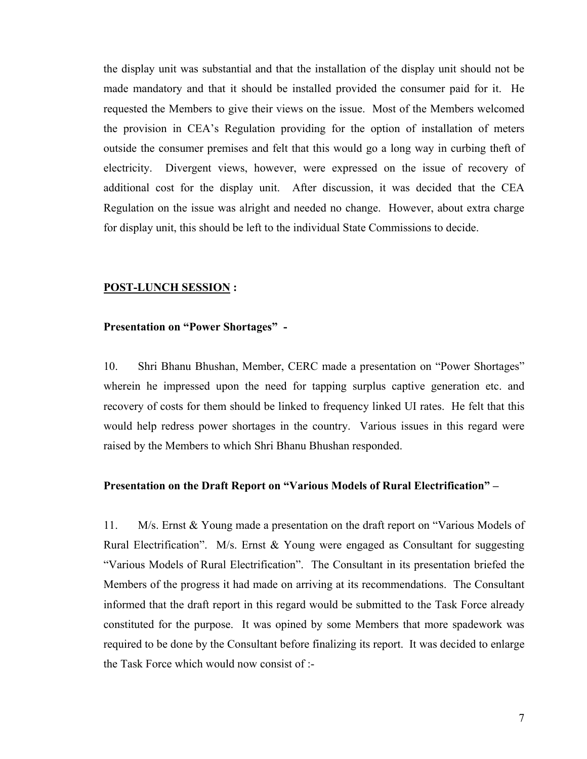the display unit was substantial and that the installation of the display unit should not be made mandatory and that it should be installed provided the consumer paid for it. He requested the Members to give their views on the issue. Most of the Members welcomed the provision in CEA's Regulation providing for the option of installation of meters outside the consumer premises and felt that this would go a long way in curbing theft of electricity. Divergent views, however, were expressed on the issue of recovery of additional cost for the display unit. After discussion, it was decided that the CEA Regulation on the issue was alright and needed no change. However, about extra charge for display unit, this should be left to the individual State Commissions to decide.

#### **POST-LUNCH SESSION :**

### **Presentation on "Power Shortages" -**

10. Shri Bhanu Bhushan, Member, CERC made a presentation on "Power Shortages" wherein he impressed upon the need for tapping surplus captive generation etc. and recovery of costs for them should be linked to frequency linked UI rates. He felt that this would help redress power shortages in the country. Various issues in this regard were raised by the Members to which Shri Bhanu Bhushan responded.

#### **Presentation on the Draft Report on "Various Models of Rural Electrification" –**

11. M/s. Ernst & Young made a presentation on the draft report on "Various Models of Rural Electrification". M/s. Ernst & Young were engaged as Consultant for suggesting "Various Models of Rural Electrification". The Consultant in its presentation briefed the Members of the progress it had made on arriving at its recommendations. The Consultant informed that the draft report in this regard would be submitted to the Task Force already constituted for the purpose. It was opined by some Members that more spadework was required to be done by the Consultant before finalizing its report. It was decided to enlarge the Task Force which would now consist of :-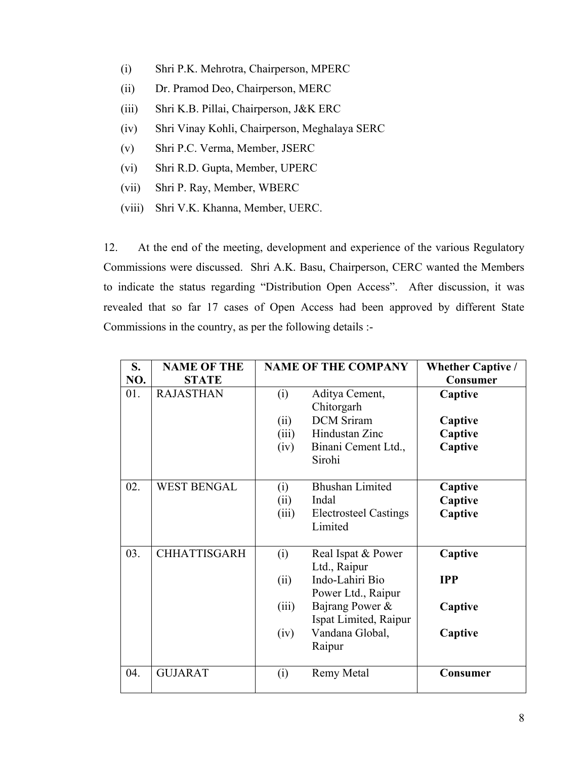- (i) Shri P.K. Mehrotra, Chairperson, MPERC
- (ii) Dr. Pramod Deo, Chairperson, MERC
- (iii) Shri K.B. Pillai, Chairperson, J&K ERC
- (iv) Shri Vinay Kohli, Chairperson, Meghalaya SERC
- (v) Shri P.C. Verma, Member, JSERC
- (vi) Shri R.D. Gupta, Member, UPERC
- (vii) Shri P. Ray, Member, WBERC
- (viii) Shri V.K. Khanna, Member, UERC.

12. At the end of the meeting, development and experience of the various Regulatory Commissions were discussed. Shri A.K. Basu, Chairperson, CERC wanted the Members to indicate the status regarding "Distribution Open Access". After discussion, it was revealed that so far 17 cases of Open Access had been approved by different State Commissions in the country, as per the following details :-

| S.<br>NO. | <b>NAME OF THE</b><br><b>STATE</b> |                              | <b>NAME OF THE COMPANY</b>                                                                                                                           | <b>Whether Captive /</b><br>Consumer        |
|-----------|------------------------------------|------------------------------|------------------------------------------------------------------------------------------------------------------------------------------------------|---------------------------------------------|
| 01.       | <b>RAJASTHAN</b>                   | (i)<br>(ii)<br>(iii)<br>(iv) | Aditya Cement,<br>Chitorgarh<br><b>DCM</b> Sriram<br>Hindustan Zinc<br>Binani Cement Ltd.,<br>Sirohi                                                 | Captive<br>Captive<br>Captive<br>Captive    |
| 02.       | <b>WEST BENGAL</b>                 | (i)<br>(ii)<br>(iii)         | <b>Bhushan Limited</b><br>Indal<br><b>Electrosteel Castings</b><br>Limited                                                                           | Captive<br>Captive<br>Captive               |
| 03.       | <b>CHHATTISGARH</b>                | (i)<br>(ii)<br>(iii)<br>(iv) | Real Ispat & Power<br>Ltd., Raipur<br>Indo-Lahiri Bio<br>Power Ltd., Raipur<br>Bajrang Power &<br>Ispat Limited, Raipur<br>Vandana Global,<br>Raipur | Captive<br><b>IPP</b><br>Captive<br>Captive |
| 04.       | <b>GUJARAT</b>                     | (i)                          | <b>Remy Metal</b>                                                                                                                                    | <b>Consumer</b>                             |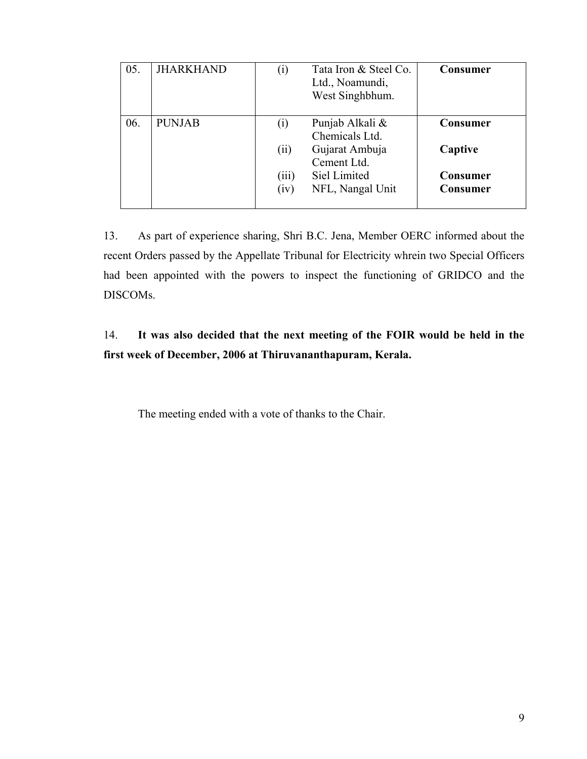| 05. | <b>JHARKHAND</b> | $\left( 1\right)$            | Tata Iron & Steel Co.<br>Ltd., Noamundi,<br>West Singhbhum.                                            | <b>Consumer</b>                                           |
|-----|------------------|------------------------------|--------------------------------------------------------------------------------------------------------|-----------------------------------------------------------|
| 06. | <b>PUNJAB</b>    | (i)<br>(ii)<br>(iii)<br>(iv) | Punjab Alkali &<br>Chemicals Ltd.<br>Gujarat Ambuja<br>Cement Ltd.<br>Siel Limited<br>NFL, Nangal Unit | <b>Consumer</b><br>Captive<br><b>Consumer</b><br>Consumer |

13. As part of experience sharing, Shri B.C. Jena, Member OERC informed about the recent Orders passed by the Appellate Tribunal for Electricity whrein two Special Officers had been appointed with the powers to inspect the functioning of GRIDCO and the DISCOMs.

# 14. **It was also decided that the next meeting of the FOIR would be held in the first week of December, 2006 at Thiruvananthapuram, Kerala.**

The meeting ended with a vote of thanks to the Chair.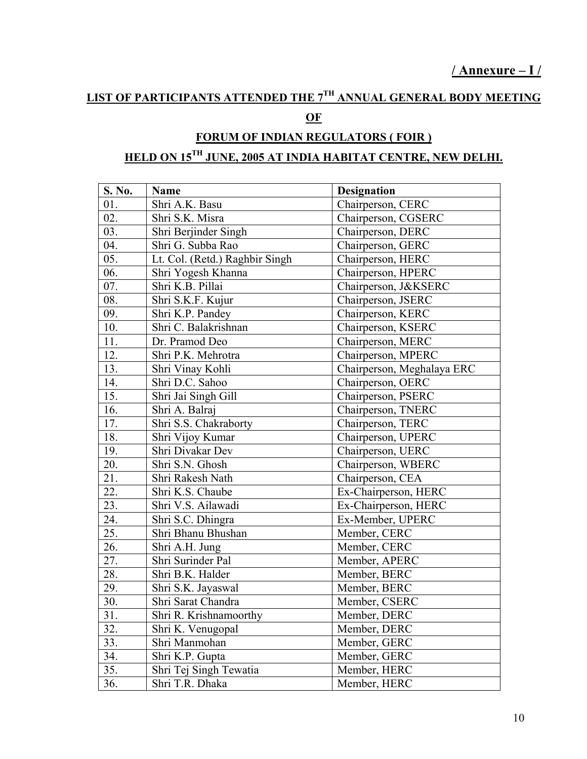# **LIST OF PARTICIPANTS ATTENDED THE 7TH ANNUAL GENERAL BODY MEETING**

# **OF**

# **FORUM OF INDIAN REGULATORS ( FOIR ) HELD ON 15TH JUNE, 2005 AT INDIA HABITAT CENTRE, NEW DELHI.**

| S. No. | Name                           | <b>Designation</b>         |
|--------|--------------------------------|----------------------------|
| 01.    | Shri A.K. Basu                 | Chairperson, CERC          |
| 02.    | Shri S.K. Misra                | Chairperson, CGSERC        |
| 03.    | Shri Berjinder Singh           | Chairperson, DERC          |
| 04.    | Shri G. Subba Rao              | Chairperson, GERC          |
| 05.    | Lt. Col. (Retd.) Raghbir Singh | Chairperson, HERC          |
| 06.    | Shri Yogesh Khanna             | Chairperson, HPERC         |
| 07.    | Shri K.B. Pillai               | Chairperson, J&KSERC       |
| 08.    | Shri S.K.F. Kujur              | Chairperson, JSERC         |
| 09.    | Shri K.P. Pandey               | Chairperson, KERC          |
| 10.    | Shri C. Balakrishnan           | Chairperson, KSERC         |
| 11.    | Dr. Pramod Deo                 | Chairperson, MERC          |
| 12.    | Shri P.K. Mehrotra             | Chairperson, MPERC         |
| 13.    | Shri Vinay Kohli               | Chairperson, Meghalaya ERC |
| 14.    | Shri D.C. Sahoo                | Chairperson, OERC          |
| 15.    | Shri Jai Singh Gill            | Chairperson, PSERC         |
| 16.    | Shri A. Balraj                 | Chairperson, TNERC         |
| 17.    | Shri S.S. Chakraborty          | Chairperson, TERC          |
| 18.    | Shri Vijoy Kumar               | Chairperson, UPERC         |
| 19.    | Shri Divakar Dev               | Chairperson, UERC          |
| 20.    | Shri S.N. Ghosh                | Chairperson, WBERC         |
| 21.    | Shri Rakesh Nath               | Chairperson, CEA           |
| 22.    | Shri K.S. Chaube               | Ex-Chairperson, HERC       |
| 23.    | Shri V.S. Ailawadi             | Ex-Chairperson, HERC       |
| 24.    | Shri S.C. Dhingra              | Ex-Member, UPERC           |
| 25.    | Shri Bhanu Bhushan             | Member, CERC               |
| 26.    | Shri A.H. Jung                 | Member, CERC               |
| 27.    | Shri Surinder Pal              | Member, APERC              |
| 28.    | Shri B.K. Halder               | Member, BERC               |
| 29.    | Shri S.K. Jayaswal             | Member, BERC               |
| 30.    | Shri Sarat Chandra             | Member, CSERC              |
| 31.    | Shri R. Krishnamoorthy         | Member, DERC               |
| 32.    | Shri K. Venugopal              | Member, DERC               |
| 33.    | Shri Manmohan                  | Member, GERC               |
| 34.    | Shri K.P. Gupta                | Member, GERC               |
| 35.    | Shri Tej Singh Tewatia         | Member, HERC               |
| 36.    | Shri T.R. Dhaka                | Member, HERC               |